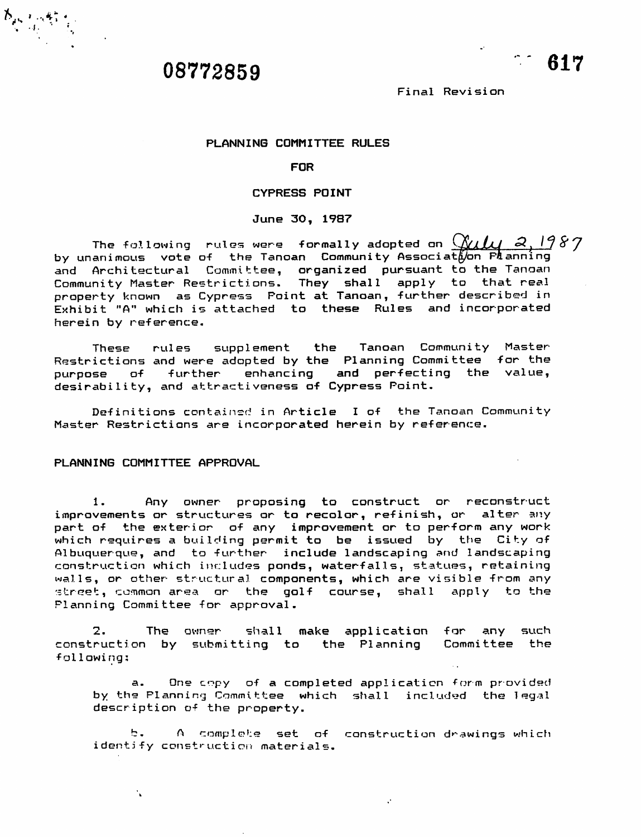

*h » . 4\*\* <sup>1</sup> js • . »*

Final Revision

#### PLANNING COMMITTEE RULES

## FOR

## CYPRESS POINT

#### June 30, 1987

The following rules were formally adopted on  $\chi$ 11  $2,1987$ by unanimous vote of the Tanoan Community Associathon Planning and Architectural Committee, organized pursuant to the Tanoan Community Master Restrictions. They shall apply to that real property known as Cypress Point at Tanoan, further described in Exhibit "A" which is attached to these Rules and incorporated herein by reference.

These rules supplement the Tanoan Community Master-Restrictions and were adopted by the Planning Committee for the purpose of further enhancing and perfecting the value, desirability, and attractiveness of Cypress Point.

Definitions contained in Article I of the Tanoan Community Master Restrictions **3ir&** incorporated herein by reference.

## PLANNING COMMITTEE APPROVAL

 $\mathbf{A}$ 

1. Any owner proposing to construct or reconstruct improvements or structures or to recolor, refinish, or alter any part of the exterior of any improvement or to perform any work which requires a building permit to be issued by the City of Albuquerque, and to further include landscaping and landscaping construction which includes ponds, waterfalls, statues, retaining walls, or other structural components, which **are** visible from any street, common area or the golf course, shall apply to the Planning Committee for approval.

2. The owner shall make application for any such construction by submitting to the Planning Committee the following:

a. One copy of a completed application form provided by the Planning Committee which shall included the legal description of the property.

b. A complete set of construction drawings which identify construction materials.

 $\mathcal{C}^{\mathcal{C}}$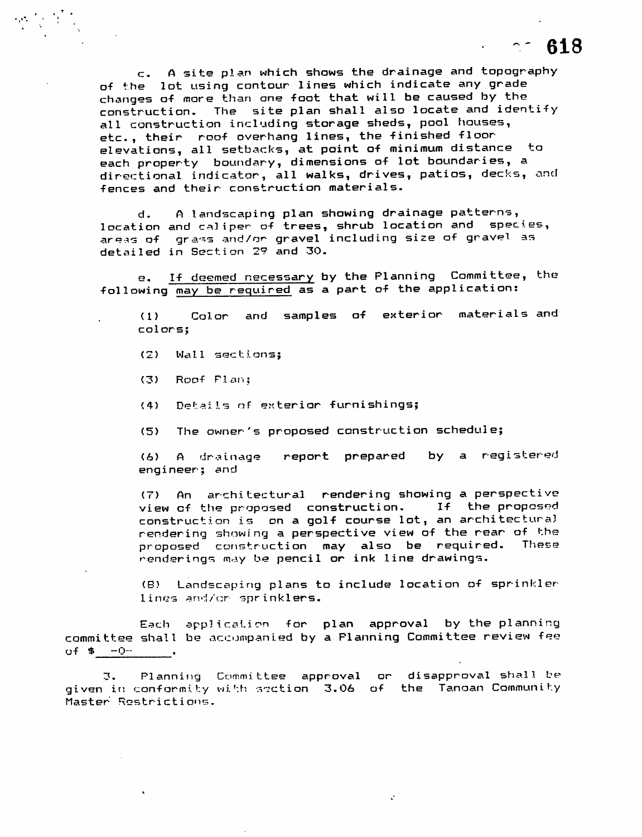c. A site plan which shows the drainage and topography of the lot using contour lines which indicate any grade changes of more than one foot that will be caused by the construction. The site plan shall also locate and identify all construction including storage sheds, pool houses, etc. , their roof overhang lines, the finished floorelevations, all setbacks, at paint af minimum distance to each property boundary, dimensions of lot boundaries, a directional indicator, all walks, drives, patios, decks, and fences and their construction materials.

d. A landscaping plan showing drainage patterns, location and caliper of trees, shrub location and species, **^re\*s** of gra-^s and/or gravel including size of gravel as detailed in Section 2? and 30.

g. If deemed necessary by the Planning Committee, the following may be required as a part of the application:

(1) Color and samples of exterior materials and colors;

- (2) Wa11 sect ions;
- (3) Roof Plan;
- (4) Details of exterior furnishings;
- (5) The owner's proposed construction schedule;

(6) A drainage report prepared by a registered engineer; and

(7) An architectural rendering showing a perspective view of the proposed construction. If the proposed construction is on a golf course lot, an architectural rendering showing a perspective view of the rear of the proposed construction may also be required. These renderings may be pencil or ink line drawings.

(B) Landscaping plans to include location of sprinkler lines and/or sprinklers.

 $\ddot{\phantom{a}}$ 

Each application for plan approval by the planning committee shall be accompanied by a Planning Committee review fee  $of $ -0^-$ 

3. Planning Committee approval or disapproval shall be given in conformity with section 3.06 of the Tanoan Community Master Restrictions.

*618*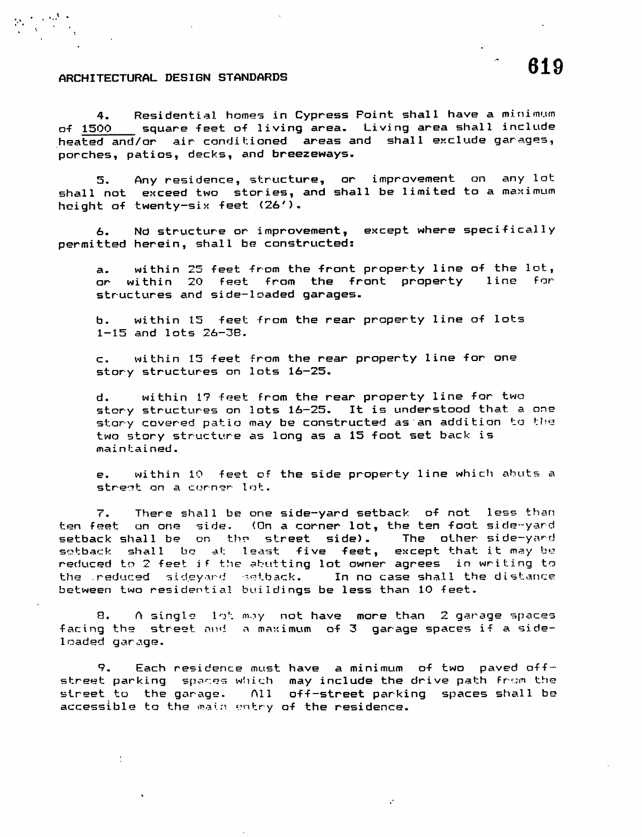## ARCHITECTURAL DESIGN STANDARDS

4. Residential homes in Cypress Point shall have a minimum of 1500 square feet of living area. Living area shall include heated and/or air conditioned areas and shall exclude garages, porches, patios, decks, and breezeways.

5. Any residence, structure, or improvement on any lot shall not exceed two stories, and shall be limited to a maximum height of twenty-six feet (26').

6. Nd structure or improvement, except where specifically permitted herein, shall be constructed:

a. within 25 feet from the front property line of the lot,<br>or within 20 feet from the front oroperty line for or within 20 feet from the front property structures and side-loaded garages.

b. within 15 feet from the rear property line of lots 1-15 and lots 26-3B.

c. within 15 feet from the rear property line for one story structures on lots 16—25.

d. within 1? feet from the rear property line for two story structures on lots 16-25. It is understood that a one story covered patio may be constructed as an addition to the two story structure as long as a 15 foot set back is maintained.

e. within 10 feet of the side property line which abuts a street on a corner-lot.

7. There shall be one side-yard setback of not less than ten feet on one side. (On a corner lot, the ten foot side-yard setback shall be on the street side). The other side-yard sotback shall be at least five feet, except that it may be reduced to 2 feet if the abutting lot owner agrees in writing to the reduced sideyard setback. In no case shall the distance between two residential buildings be less than 10 feet.

8. A single **In':** moy not have more than 2 garage spaces facing the street and a maximum of 3 garage spaces if a sideloaded garage.

9. Each residence must have a minimum of two paved offstreet parking spaces which may include the drive path from the street to the garage- All off-street parking spaces shall be accessible to the main entry of the residence.

 $\mathcal{L}$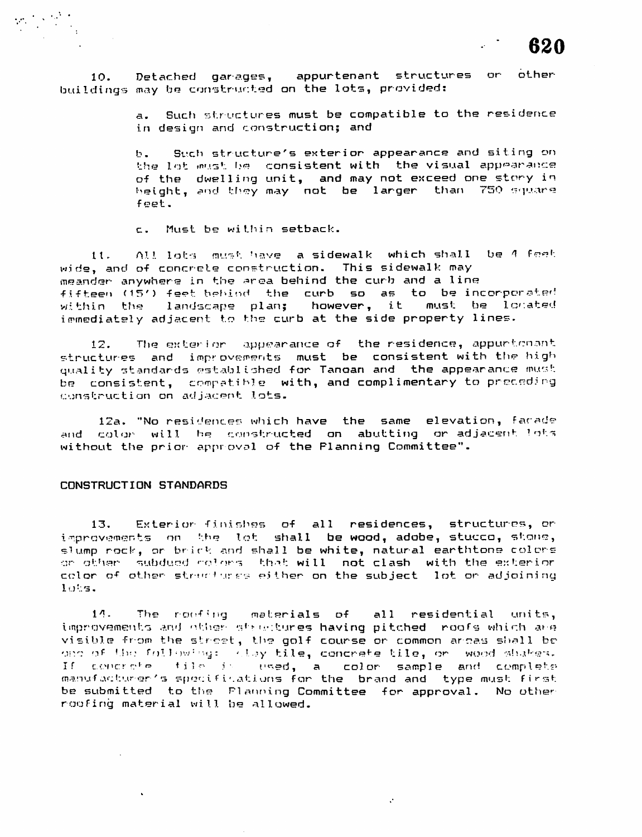

10. Detached garages, appurtenant structures or other buildings may be constructed on the lots, provided:

> a. Such structures must be compatible to the residence in design and construction; and

> b. Sucfi structure's exterior appearance and siting on the lot must be consistent with the visual appearance of the dwelling unit, and may not exceed one story in height, and they may not be larger than 750 square feet.

c. Must be within setback.

 $11.$  All lots must have a sidewalk which shall be  $4$  feet wide, and of concrete construction. This sidewalk may meander anywhere in the **^roa** behind the curb and a line fifteen (15') feet-behind the curb so as to be incorporated<br>within the -landscape plan; however, it must be located within the landscape plan; however, it must he 1crated immediately adjacent to the curb at the side property lines.

12. The exterior appearance of the residence, appurtenant structures and improvements must be consistent with the high quality standards established for Tanoan and the appearance mu^t be consistent, compatible with, and complimentary to preceding construction on adjacent lots.

12a. "No residences which have the same elevation, facade and color will he constructed on abutting or adjacent ?ot<sub>\*</sub> without the prior approval of the Planning Committee".

#### CONSTRUCTION STANDARDS

13, Exterior finishes of all residences, structures, or improvements on the lot shall be wood, adobe, stucco, stone, slump rock, or brick and shall be white, natural earthtone colors **•:rr-** oth'^r subdued '••o1>>rs th-»t will not clash with the exterior color of other structures either on the subject. lot or adjoining 10%s.

11- The rotting materials of all residential units, improvements and other structures having pitched roofs which are visible from the street, the golf course or common arcas shall beone of the following: Ellay til<mark>e, concrete tile, or wo</mark>od shakes.<br>If concrete, tile is used, a color sample and complete If the station of the stations of the color sample and complete manufacturer's spocifications for the brand and type must first be submitted to the Planning Committee for approval. No other roofi ng mater ial wi11 be al1 owed.

 $\mathcal{C}$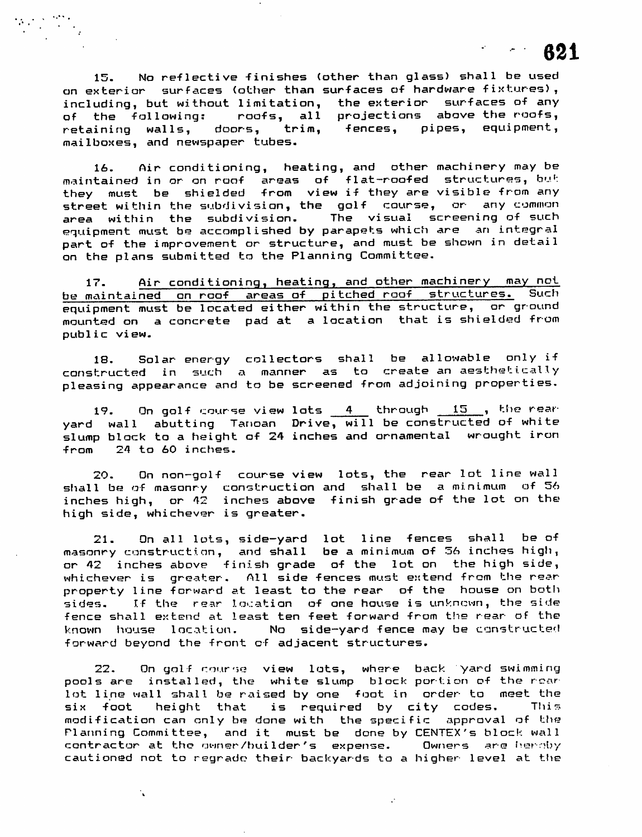15. No reflective finishes (other than glass) shall be used on exterior surfaces (other than surfaces of hardware fixtures), including, but without limitation, the exterior surfaces of any of the fallowing: roofs, all projections above the roofs, retaining walls, doors, trim, fences, pipes, equipment, mailboxes, and newspaper tubes.

*621*

16. Air conditioning, heating, and other machinery may be maintained in or on roof areas of flat-roofed structures, but they must be shielded from view if they **are** visible from any street within the subdivision, the golf course, or any common **area** within the subdivision. The visual screening of such equipment must be accomplished by parapets which **are** an integral part of the improvement or structure, and must be shown in detail on the plans submitted to the Planning Committee.

17. Air conditioning, heating, and other machinery may not be maintained on roof areas of pitched roof structures. Such equipment must be located either within the structure, or ground mounted on a concrete pad at a location that is shielded from public view.

18. Solar energy collectors shall be allowable only if constructed in such a manner as to create an aesthetically pleasing appearance and to be screened from adjoining properties.

19. On golf course view lots  $\begin{array}{cccc} 4 & \text{through} & 15 \end{array}$ , the rearyard wall abutting Tanoan Drive, will be constructed of white slump block to a height of 24 inches and ornamental wrought iron from 24 to 60 inches.

20. On non-golf course view lots, the rear lot line wall shall be of masonry construction and shall be a minimum of 56 inches high, or 42 inches above finish grade of the lot on the high side, whichever is greater.

21. On all lots, side-yard lot line fences shall be of masonry construction, and shall be a minimum of 36 inches high, or 42 inches above finish grade of the lot on the high side, whichever is greater. All side fences must extend from the rearproperty line forward at least to the rear of the house on both sides. If the rear location of one house is unknown, the side fence shall extend at least ten feet forward from the rear of the known house location. No side-yard fence may be constructed forward beyond the front of adjacent structures.

22. On golf course view lots, where back yard swimming pools are installed, the white slump block portion of the roar lot line wall shall be raised by one foot in order- to meet the six foot height that is required by city codes. This modification can only be done with the specific approval of the Planning Committee, and it must be done by CENTEX's block wall contractor at the owner/builder's expense. Owners are hemoby cautioned not to regrado their backyards to a higher level at the

 $\mathcal{C}$ 

 $\mathbf{r}_{\mathbf{a}}$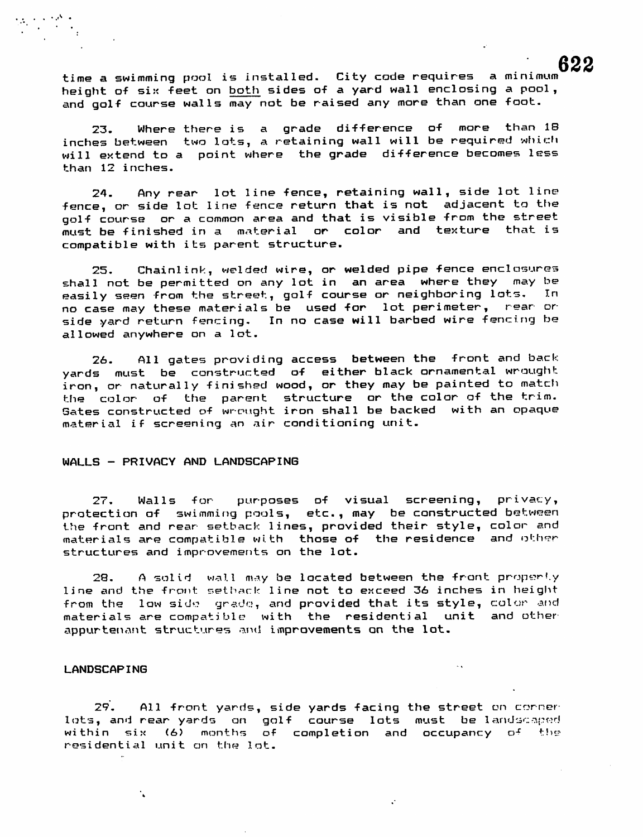time a swimming pool is installed. City code requires a minimum height of six feet on both sides of a yard wall enclosing a pool, and golf course walls may not be raised any mare than one foot.

23. Where there is a grade difference of more than IB inches between two lots, a retaining wall will be required which will extend to a point where the grade difference becomes less than 12 inches.

24. Any rear lot line fence, retaining wall, side lot line fence, or side lot line fence return that is not adjacent to the golf course or a common area and that is visible from the street must be finished in a material or color and texture that is compatible with its parent structure.

25. Chainlink, welded wire, or welded pipe fence enclosures shall not be permitted on any lot in an **area** where they may be easily seen from the street, golf course or neighboring lots. no case may these materials be used far lot perimeter, rear or side yard return fencing. In no case will barbed wire fencing be allowed anywhere on a lot.

26. All gates providing access between the front and back yards must be constructed of either black ornamental wrought iron, or naturally finished wood, or they may be painted to match the color of the parent structure or the color of the trim. Sates constructed of wrought iron shall be backed with an opaque material if screening an air conditioning unit.

#### WALLS - PRIVACY AND LANDSCAPING

27. Walls for purposes of visual screening, privacy, protection of swimming pools, etc., may be constructed between the front and rear setback lines, provided their style, color and materials are compatible with those of the residence and other structures and improvements on the lot.

28. A solid wall may be located between the front property line **and** the front setback line not to exceed 36 inches in height from the low side grade, and provided that its style, color and materials are compatible with the residential unit and other appurtenant structures and improvements an the lot.

## LANDSCAPING

 $\mathbf{r}$ 

29. All front yards, side yards facing the street on corner lots, and rear yards on golf course lots must be landscaped within six (6) months of completion and occupancy of the  $\frac{1}{2}$ residential unit on the lot.

 $\sim$  4.

 $\ddot{\phantom{0}}$ 

*622*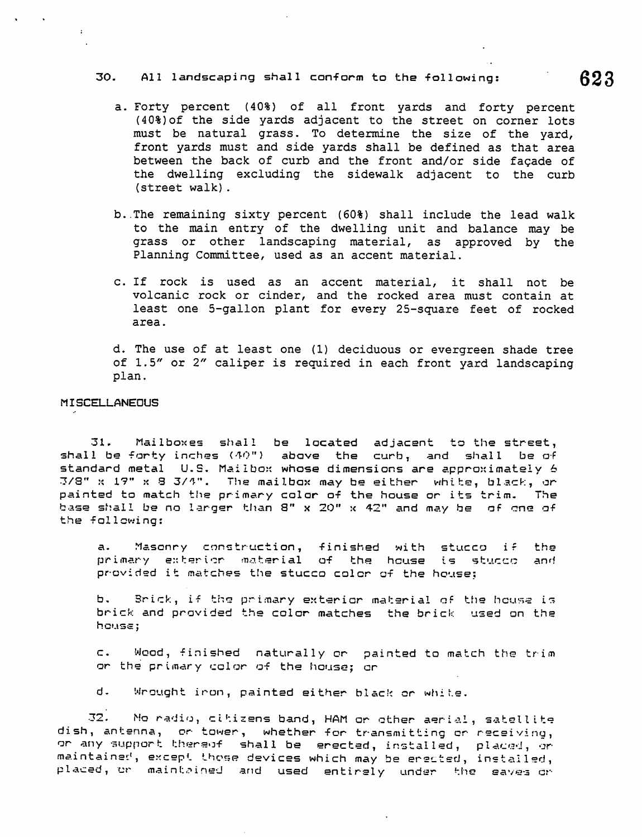# 30. All landscaping shall conform to the following:  $623$

- a. Forty percent (40%) of all front yards and forty percent (40%)of the side yards adjacent to the street on corner lots must be natural grass. To determine the size of the yard, front yards must and side yards shall be defined as that area between the back of curb and the front and/or side fagade of the dwelling excluding the sidewalk adjacent to the curb (street walk).
- b..The remaining sixty percent (60%) shall include the lead walk to the main entry of the dwelling unit and balance may be grass or other landscaping material, as approved by the Planning Committee, used as an accent material.
- c. If rock is used as an accent material, it shall not be volcanic rock or cinder, and the rocked area must contain at least one 5-gallon plant for every 25-square feet of rocked area.

d. The use of at least one (1) deciduous or evergreen shade tree of 1.5" or 2" caliper is required in each front yard landscaping plan.

## **MISCELLANEOUS**

 $\cdot$ :

31. Mailboxes shal1 be located adjacent to the street, shall be forty inches <40") above the curb, and shall be of standard metal U.S. Mailbox whose dimensions are approximately 6 3/3" x 1?" x 8 3/V\*. The mailbox may be either white, black, or painted to match the primary color of the house or its trim. The base shall be no larger than S" x 20" x 42" and may be of one of the following:

a. Masonry construction, finished with stucco **ir** the primary extericr material of the house is stucco **and** provided it matches the stucco color of the house:

b. Brick, if the primary exterior material of the hcuss is brick and provided the color matches the brick used on the hcuss;

c. Wood, finished naturally or painted to match the trim or the primary color of the house; or

d. Wrought iron, painted either black or white.

32. Mo radio, citizens band, HAM or other aerial, satellite dish, antenna, or tower, whether for transmitting or receiving, or any support thereof shall be erected, installed, placed, or maintained, except those devices which may be erected, installed, placed, or maintained and used entirely undar the saves or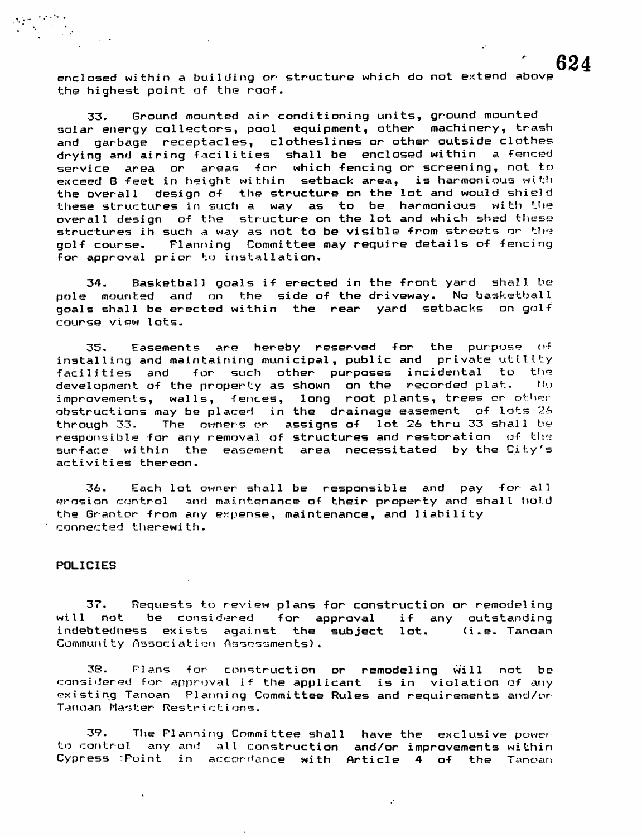enclosed within a building or structure which do not extend above the highest paint of the roof.

33. Ground mounted air conditioning units, ground mounted solar energy collectors, pool equipment, other machinery, trash and garbage receptacles, clotheslines or other outside clothes drying and airing facilities shall be enclosed within a fenced service area or areas for which fencing or screening, not to exceed 8 feet in height within setback **area,** is harmonious with the overall design of the structure on the lot and would shield these structures in such a way as to be harmonious with the overall design of the structure on the lot and which shed these structures ih such a way as not to be visible from streets or the golf course- Planning Committee may require details of fencing for approval prior to installation.

34. Basketball goals if erected in the front yard shall be pole mounted and on the side of the driveway. No basketball goals shall be erected within the rear yard setbacks on golf course view lots.

35. Easements **are** hereby reserved for the purpose of installing and maintaining municipal, public and private utility facilities and for such other purposes incidental to the development of the property as shown on the recorded plat. No improvements, walls, fences, long root plants, trees or other obstructions may be placed in the drainage easement of lots **7.6** through 33. The owners or assigns of lot 26 thru 33 shall be responsible for any removal of structures and restoration  $of$  the surface within the easement area necessitated by the City's activities thereon.

36. Each lot owner shall be responsible and pay for all erosion control and maintenance of their property and shall hold the Grantor from any expense, maintenance, and liability connected therewith.

#### POLICIES

37. Requests to review plans for construction or remodeling will not be considered for approval if any outstanding indebtedness exists against the subject lot. (i.e. Tanoan Community Association Assessments).

38. Plans for construction or remodeling will not be considered For approval if the applicant is in violation of any existing Tanoan Planning Committee Rules and requirements and/or Tanoan Master Restrictions.

39. The Planning Committee shall have the exclusive power<br>to control, any and all construction, and/or improvements within any and all construction and/or improvements within Cypress :Point in accordance with Article 4 of the Tanoan

 $\mathcal{C}$ 

*624*